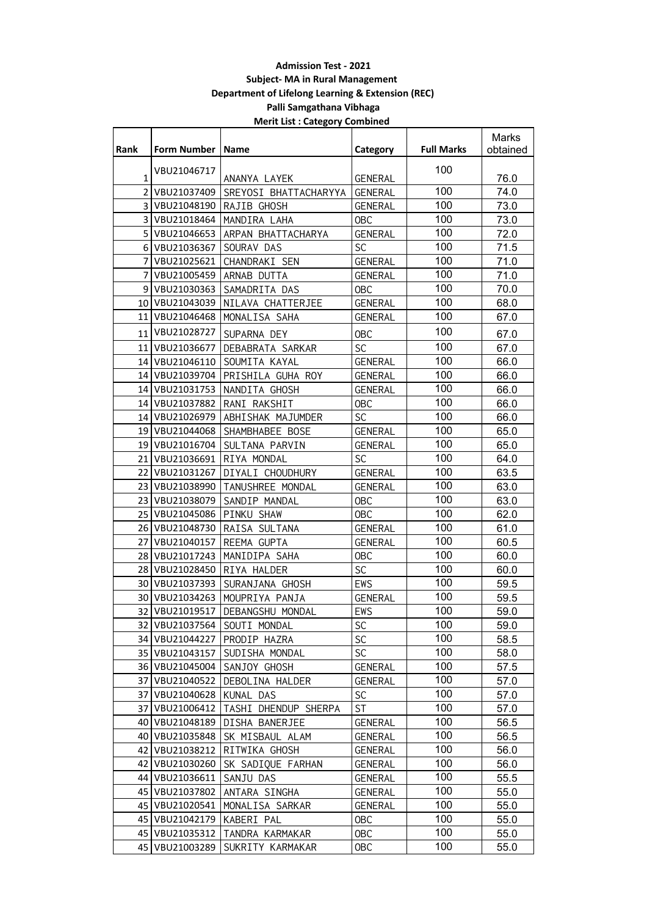## **Admission Test - 2021 Subject- MA in Rural Management Department of Lifelong Learning & Extension (REC) Palli Samgathana Vibhaga Merit List : Category Combined**

|                |                    |                                 |                |                   | Marks    |
|----------------|--------------------|---------------------------------|----------------|-------------------|----------|
| <b>Rank</b>    | Form Number   Name |                                 | Category       | <b>Full Marks</b> | obtained |
|                | VBU21046717        |                                 |                | 100               |          |
| 1              |                    | ANANYA LAYEK                    | <b>GENERAL</b> |                   | 76.0     |
| $\overline{2}$ | VBU21037409        | SREYOSI BHATTACHARYYA           | GENERAL        | 100               | 74.0     |
|                | 3 VBU21048190      | RAJIB GHOSH                     | GENERAL        | 100               | 73.0     |
|                | 3 VBU21018464      | MANDIRA LAHA                    | <b>OBC</b>     | 100               | 73.0     |
|                | 5 VBU21046653      | ARPAN BHATTACHARYA              | <b>GENERAL</b> | 100               | 72.0     |
|                | 6 VBU21036367      | SOURAV DAS                      | <b>SC</b>      | 100               | 71.5     |
| 7              | VBU21025621        | CHANDRAKI SEN                   | <b>GENERAL</b> | 100               | 71.0     |
| 7              | VBU21005459        | ARNAB DUTTA                     | <b>GENERAL</b> | 100               | 71.0     |
|                | 9 VBU21030363      | SAMADRITA DAS                   | <b>OBC</b>     | 100               | 70.0     |
|                | 10 VBU21043039     | NILAVA CHATTERJEE               | <b>GENERAL</b> | 100               | 68.0     |
|                | 11 VBU21046468     | MONALISA SAHA                   | GENERAL        | 100               | 67.0     |
| 11             | VBU21028727        | SUPARNA DEY                     | <b>OBC</b>     | 100               | 67.0     |
|                | 11 VBU21036677     | DEBABRATA SARKAR                | <b>SC</b>      | 100               | 67.0     |
|                | 14 VBU21046110     | SOUMITA KAYAL                   | <b>GENERAL</b> | 100               | 66.0     |
|                | 14 VBU21039704     | PRISHILA GUHA ROY               | GENERAL        | 100               | 66.0     |
|                | 14   VBU21031753   | NANDITA GHOSH                   | <b>GENERAL</b> | 100               | 66.0     |
|                | 14 VBU21037882     | RANI RAKSHIT                    | <b>OBC</b>     | 100               | 66.0     |
|                | 14 VBU21026979     | ABHISHAK MAJUMDER               | <b>SC</b>      | 100               | 66.0     |
|                | 19 VBU21044068     | SHAMBHABEE BOSE                 | <b>GENERAL</b> | 100               | 65.0     |
|                | 19 VBU21016704     | SULTANA PARVIN                  | <b>GENERAL</b> | 100               | 65.0     |
|                | 21 VBU21036691     | RIYA MONDAL                     | <b>SC</b>      | 100               | 64.0     |
|                | 22 VBU21031267     | DIYALI CHOUDHURY                | <b>GENERAL</b> | 100               | 63.5     |
|                | 23 VBU21038990     | TANUSHREE MONDAL                | <b>GENERAL</b> | 100               | 63.0     |
|                | 23 VBU21038079     | SANDIP MANDAL                   | <b>OBC</b>     | 100               | 63.0     |
|                | 25 VBU21045086     | PINKU SHAW                      | <b>OBC</b>     | 100               | 62.0     |
|                | 26 VBU21048730     | RAISA SULTANA                   | <b>GENERAL</b> | 100               | 61.0     |
| 27             | VBU21040157        | REEMA GUPTA                     | <b>GENERAL</b> | 100               | 60.5     |
|                | 28 VBU21017243     | MANIDIPA SAHA                   | <b>OBC</b>     | 100               | 60.0     |
|                | 28 VBU21028450     | RIYA HALDER                     | <b>SC</b>      | 100               | 60.0     |
|                | 30 VBU21037393     | SURANJANA GHOSH                 | EWS            | 100               | 59.5     |
|                | 30 VBU21034263     | MOUPRIYA PANJA                  | <b>GENERAL</b> | 100               | 59.5     |
|                | 32 VBU21019517     | DEBANGSHU MONDAL                | <b>EWS</b>     | 100               | 59.0     |
|                |                    | 32   VBU21037564   SOUTI MONDAL | <b>SC</b>      | 100               | 59.0     |
|                | 34 VBU21044227     | PRODIP HAZRA                    | SC             | 100               | 58.5     |
|                | 35   VBU21043157   | SUDISHA MONDAL                  | SC.            | 100               | 58.0     |
|                | 36 VBU21045004     | SANJOY GHOSH                    | <b>GENERAL</b> | 100               | 57.5     |
|                | 37 VBU21040522     | DEBOLINA HALDER                 | <b>GENERAL</b> | 100               | 57.0     |
|                | 37 VBU21040628     | KUNAL DAS                       | <b>SC</b>      | 100               | 57.0     |
|                | 37 VBU21006412     | TASHI DHENDUP SHERPA            | <b>ST</b>      | 100               | 57.0     |
|                | 40   VBU21048189   | DISHA BANERJEE                  | <b>GENERAL</b> | 100               | 56.5     |
|                | 40 VBU21035848     | SK MISBAUL ALAM                 | <b>GENERAL</b> | 100               | 56.5     |
| 42             | VBU21038212        | RITWIKA GHOSH                   | <b>GENERAL</b> | 100               | 56.0     |
| 42             | VBU21030260        | SK SADIQUE FARHAN               | <b>GENERAL</b> | 100               | 56.0     |
| 44 l           | VBU21036611        | SANJU DAS                       | <b>GENERAL</b> | 100               | 55.5     |
| 45             | VBU21037802        | ANTARA SINGHA                   | <b>GENERAL</b> | 100               | 55.0     |
|                | 45   VBU21020541   | MONALISA SARKAR                 | <b>GENERAL</b> | 100               | 55.0     |
|                | 45 VBU21042179     | KABERI PAL                      | 0BC            | 100               | 55.0     |
|                | 45   VBU21035312   | TANDRA KARMAKAR                 | <b>OBC</b>     | 100               | 55.0     |
| 45 l           | VBU21003289        | SUKRITY KARMAKAR                | <b>OBC</b>     | 100               | 55.0     |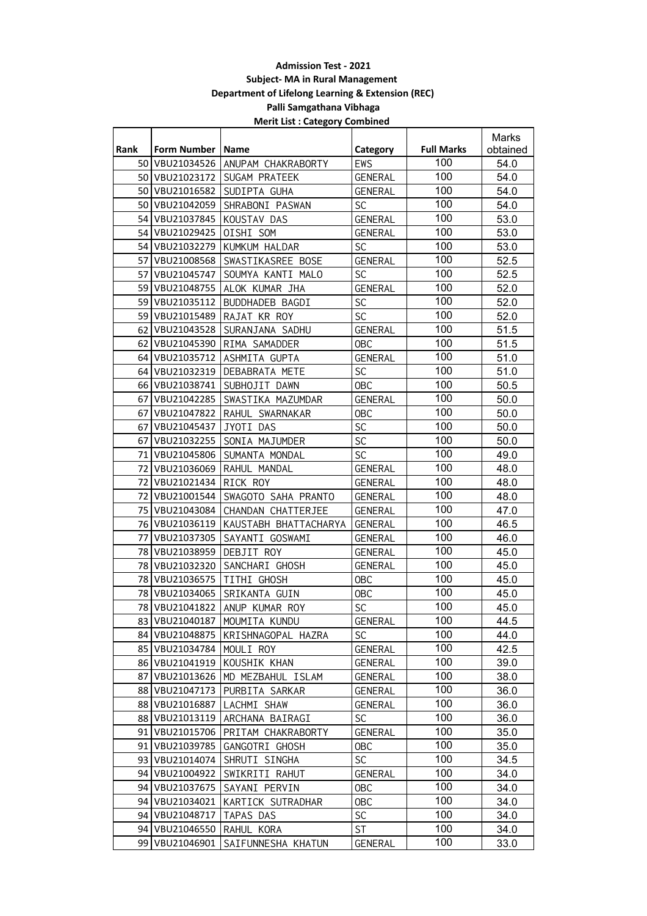## **Admission Test - 2021 Subject- MA in Rural Management Department of Lifelong Learning & Extension (REC) Palli Samgathana Vibhaga Merit List : Category Combined**

|             |                    |                                    |                |                   | Marks    |
|-------------|--------------------|------------------------------------|----------------|-------------------|----------|
| <b>Rank</b> | Form Number   Name |                                    | Category       | <b>Full Marks</b> | obtained |
| 50          |                    | VBU21034526 ANUPAM CHAKRABORTY     | EWS            | 100               | 54.0     |
|             |                    | 50 VBU21023172 SUGAM PRATEEK       | <b>GENERAL</b> | 100               | 54.0     |
| 50          | VBU21016582        | SUDIPTA GUHA                       | <b>GENERAL</b> | 100               | 54.0     |
| 50 l        | VBU21042059        | SHRABONI PASWAN                    | <b>SC</b>      | 100               | 54.0     |
| 54          | VBU21037845        | KOUSTAV DAS                        | <b>GENERAL</b> | 100               | 53.0     |
|             | 54 VBU21029425     | OISHI SOM                          | <b>GENERAL</b> | 100               | 53.0     |
| 54          | VBU21032279        | KUMKUM HALDAR                      | <b>SC</b>      | 100               | 53.0     |
| 57          | VBU21008568        | SWASTIKASREE BOSE                  | <b>GENERAL</b> | 100               | 52.5     |
| 57          | VBU21045747        | SOUMYA KANTI MALO                  | <b>SC</b>      | 100               | 52.5     |
| 59          | VBU21048755        | ALOK KUMAR JHA                     | <b>GENERAL</b> | 100               | 52.0     |
| 59          | VBU21035112        | BUDDHADEB BAGDI                    | SC             | 100               | 52.0     |
|             | 59 VBU21015489     | RAJAT KR ROY                       | SC             | 100               | 52.0     |
|             | 62 VBU21043528     | SURANJANA SADHU                    | <b>GENERAL</b> | 100               | 51.5     |
|             |                    | 62 VBU21045390 RIMA SAMADDER       | <b>OBC</b>     | 100               | 51.5     |
| 64          | VBU21035712        | ASHMITA GUPTA                      | <b>GENERAL</b> | 100               | 51.0     |
| 64          | VBU21032319        | <b>DEBABRATA METE</b>              | <b>SC</b>      | 100               | 51.0     |
|             |                    | 66   VBU21038741   SUBHOJIT DAWN   | <b>OBC</b>     | 100               | 50.5     |
| 67          |                    | VBU21042285 SWASTIKA MAZUMDAR      | <b>GENERAL</b> | 100               | 50.0     |
| 67          |                    | VBU21047822 RAHUL SWARNAKAR        | <b>OBC</b>     | 100               | 50.0     |
|             | 67 VBU21045437     | JYOTI DAS                          | SC             | 100               | 50.0     |
| 67          | VBU21032255        | SONIA MAJUMDER                     | SC             | 100               | 50.0     |
| 71          | VBU21045806        | SUMANTA MONDAL                     | SC             | 100               | 49.0     |
| 72          | VBU21036069        | RAHUL MANDAL                       | <b>GENERAL</b> | 100               | 48.0     |
| 72          | VBU21021434        | RICK ROY                           | <b>GENERAL</b> | 100               | 48.0     |
| 72 I        | VBU21001544        | SWAGOTO SAHA PRANTO                | <b>GENERAL</b> | 100               | 48.0     |
| 75          | VBU21043084        | CHANDAN CHATTERJEE                 | <b>GENERAL</b> | 100               | 47.0     |
|             | 76 VBU21036119     | KAUSTABH BHATTACHARYA              | GENERAL        | 100               | 46.5     |
|             | 77 VBU21037305     | SAYANTI GOSWAMI                    | <b>GENERAL</b> | 100               | 46.0     |
|             | 78 VBU21038959     | DEBJIT ROY                         | GENERAL        | 100               | 45.0     |
| 78          | VBU21032320        | SANCHARI GHOSH                     | <b>GENERAL</b> | 100               | 45.0     |
| 78          | VBU21036575        | TITHI GHOSH                        | <b>OBC</b>     | 100               | 45.0     |
| 78          | VBU21034065        | SRIKANTA GUIN                      | <b>OBC</b>     | 100               | 45.0     |
|             |                    | 78 VBU21041822 ANUP KUMAR ROY      | <b>SC</b>      | 100               | 45.0     |
|             |                    | 83   VBU21040187   MOUMITA KUNDU   | <b>GENERAL</b> | 100               | 44.5     |
|             | 84 VBU21048875     | KRISHNAGOPAL HAZRA                 | <b>SC</b>      | 100               | 44.0     |
|             | 85   VBU21034784   | MOULI ROY                          | <b>GENERAL</b> | 100               | 42.5     |
|             | 86 VBU21041919     | KOUSHIK KHAN                       | <b>GENERAL</b> | 100               | 39.0     |
|             |                    | 87 VBU21013626   MD MEZBAHUL ISLAM | GENERAL        | 100               | 38.0     |
| 88 l        | VBU21047173        | PURBITA SARKAR                     | GENERAL        | 100               | 36.0     |
| 88          | VBU21016887        | LACHMI SHAW                        | GENERAL        | 100               | 36.0     |
|             | 88 VBU21013119     | ARCHANA BAIRAGI                    | <b>SC</b>      | 100               | 36.0     |
|             |                    | 91 VBU21015706 PRITAM CHAKRABORTY  | <b>GENERAL</b> | 100               | 35.0     |
|             | 91   VBU21039785   | GANGOTRI GHOSH                     | 0BC            | 100               | 35.0     |
|             | 93   VBU21014074   | SHRUTI SINGHA                      | SC             | 100               | 34.5     |
|             | 94   VBU21004922   | SWIKRITI RAHUT                     | <b>GENERAL</b> | 100               | 34.0     |
|             | 94 VBU21037675     | SAYANI PERVIN                      | 0BC            | 100               | 34.0     |
| 94          | VBU21034021        | KARTICK SUTRADHAR                  | 0BC            | 100               | 34.0     |
| 94          | VBU21048717        | TAPAS DAS                          | <b>SC</b>      | 100               | 34.0     |
|             | 94 VBU21046550     | RAHUL KORA                         | ST.            | 100               | 34.0     |
| 99          | VBU21046901        | SAIFUNNESHA KHATUN                 | <b>GENERAL</b> | 100               | 33.0     |